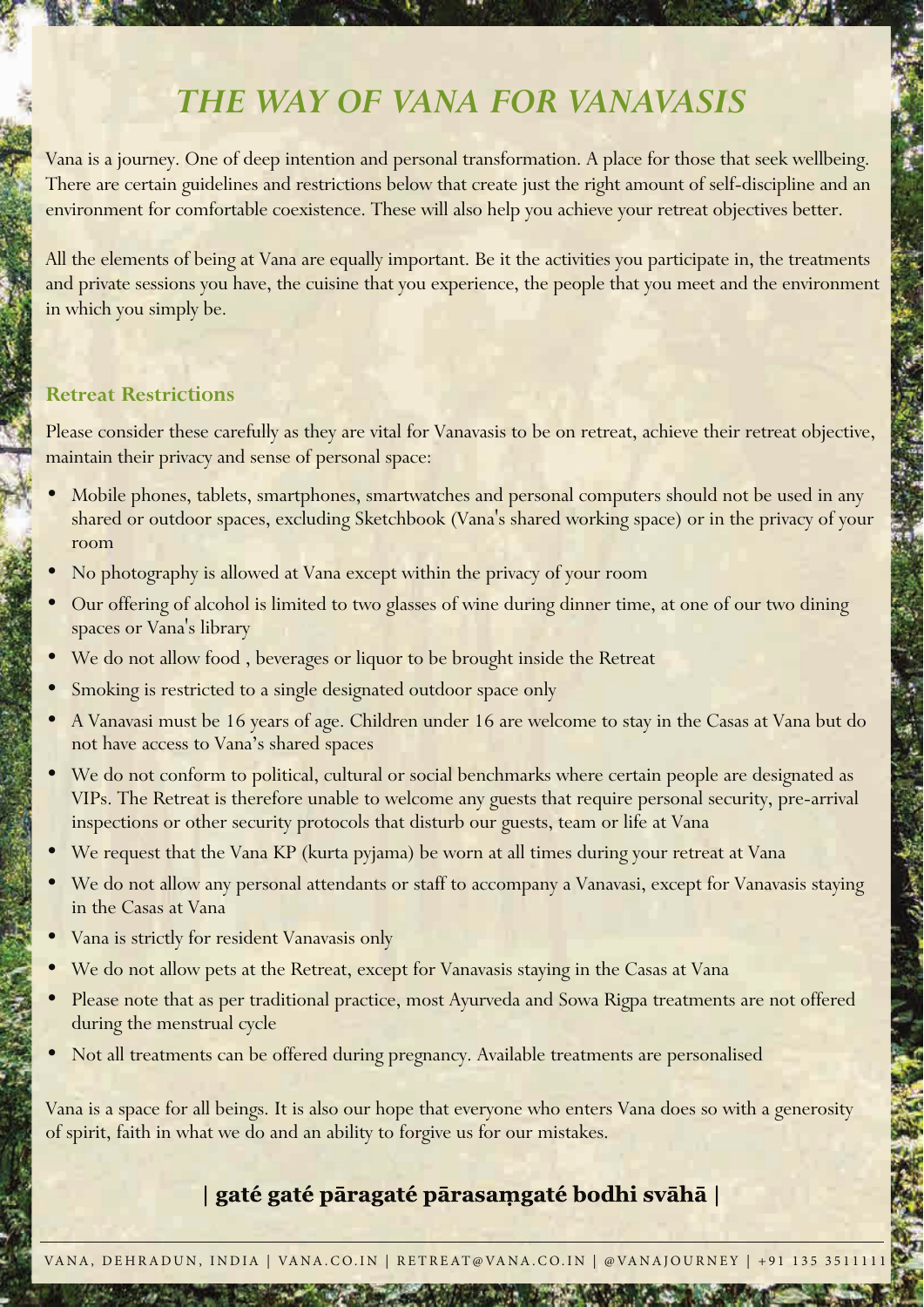# *THE WAY OF VANA FOR VANAVASIS*

Vana is a journey. One of deep intention and personal transformation. A place for those that seek wellbeing. There are certain guidelines and restrictions below that create just the right amount of self-discipline and an environment for comfortable coexistence. These will also help you achieve your retreat objectives better.

All the elements of being at Vana are equally important. Be it the activities you participate in, the treatments and private sessions you have, the cuisine that you experience, the people that you meet and the environment in which you simply be.

### **Retreat Restrictions**

Please consider these carefully as they are vital for Vanavasis to be on retreat, achieve their retreat objective, maintain their privacy and sense of personal space:

- Mobile phones, tablets, smartphones, smartwatches and personal computers should not be used in any shared or outdoor spaces, excluding Sketchbook (Vana's shared working space) or in the privacy of your room
- No photography is allowed at Vana except within the privacy of your room
- Our offering of alcohol is limited to two glasses of wine during dinner time, at one of our two dining spaces or Vana's library
- We do not allow food, beverages or liquor to be brought inside the Retreat
- Smoking is restricted to a single designated outdoor space only
- A Vanavasi must be 16 years of age. Children under 16 are welcome to stay in the Casas at Vana but do not have access to Vana's shared spaces
- We do not conform to political, cultural or social benchmarks where certain people are designated as VIPs. The Retreat is therefore unable to welcome any guests that require personal security, pre-arrival inspections or other security protocols that disturb our guests, team or life at Vana
- We request that the Vana KP (kurta pyjama) be worn at all times during your retreat at Vana
- We do not allow any personal attendants or staff to accompany a Vanavasi, except for Vanavasis staying in the Casas at Vana
- Vana is strictly for resident Vanavasis only
- We do not allow pets at the Retreat, except for Vanavasis staying in the Casas at Vana
- Please note that as per traditional practice, most Ayurveda and Sowa Rigpa treatments are not offered during the menstrual cycle
- Not all treatments can be offered during pregnancy. Available treatments are personalised

Vana is a space for all beings. It is also our hope that everyone who enters Vana does so with a generosity of spirit, faith in what we do and an ability to forgive us for our mistakes.

## | gaté gaté pāragaté pārasamgaté bodhi svāhā |

VANA, DEHRADUN, INDIA | VANA.CO.IN | RETREAT@VANA.CO.IN | @VANAJOURNEY | +91 135 3511111